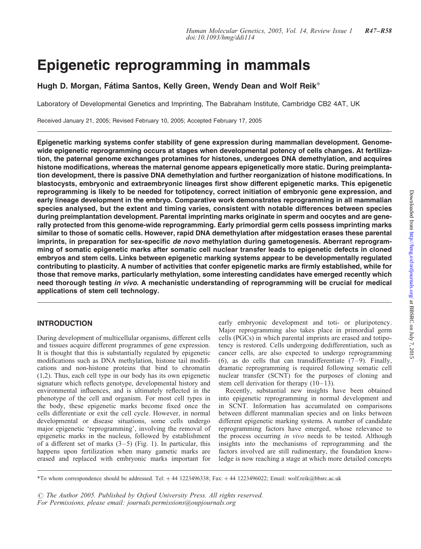# Epigenetic reprogramming in mammals

# Hugh D. Morgan, Fátima Santos, Kelly Green, Wendy Dean and Wolf Reik<sup>\*</sup>

Laboratory of Developmental Genetics and Imprinting, The Babraham Institute, Cambridge CB2 4AT, UK

Received January 21, 2005; Revised February 10, 2005; Accepted February 17, 2005

Epigenetic marking systems confer stability of gene expression during mammalian development. Genomewide epigenetic reprogramming occurs at stages when developmental potency of cells changes. At fertilization, the paternal genome exchanges protamines for histones, undergoes DNA demethylation, and acquires histone modifications, whereas the maternal genome appears epigenetically more static. During preimplantation development, there is passive DNA demethylation and further reorganization of histone modifications. In blastocysts, embryonic and extraembryonic lineages first show different epigenetic marks. This epigenetic reprogramming is likely to be needed for totipotency, correct initiation of embryonic gene expression, and early lineage development in the embryo. Comparative work demonstrates reprogramming in all mammalian species analysed, but the extent and timing varies, consistent with notable differences between species during preimplantation development. Parental imprinting marks originate in sperm and oocytes and are generally protected from this genome-wide reprogramming. Early primordial germ cells possess imprinting marks similar to those of somatic cells. However, rapid DNA demethylation after midgestation erases these parental imprints, in preparation for sex-specific *de novo* methylation during gametogenesis. Aberrant reprogramming of somatic epigenetic marks after somatic cell nuclear transfer leads to epigenetic defects in cloned embryos and stem cells. Links between epigenetic marking systems appear to be developmentally regulated contributing to plasticity. A number of activities that confer epigenetic marks are firmly established, while for those that remove marks, particularly methylation, some interesting candidates have emerged recently which need thorough testing in vivo. A mechanistic understanding of reprogramming will be crucial for medical applications of stem cell technology.

# INTRODUCTION

During development of multicellular organisms, different cells and tissues acquire different programmes of gene expression. It is thought that this is substantially regulated by epigenetic modifications such as DNA methylation, histone tail modifications and non-histone proteins that bind to chromatin (1,2). Thus, each cell type in our body has its own epigenetic signature which reflects genotype, developmental history and environmental influences, and is ultimately reflected in the phenotype of the cell and organism. For most cell types in the body, these epigenetic marks become fixed once the cells differentiate or exit the cell cycle. However, in normal developmental or disease situations, some cells undergo major epigenetic 'reprogramming', involving the removal of epigenetic marks in the nucleus, followed by establishment of a different set of marks  $(3-5)$  (Fig. 1). In particular, this happens upon fertilization when many gametic marks are erased and replaced with embryonic marks important for

early embryonic development and toti- or pluripotency. Major reprogramming also takes place in primordial germ cells (PGCs) in which parental imprints are erased and totipotency is restored. Cells undergoing dedifferentiation, such as cancer cells, are also expected to undergo reprogramming (6), as do cells that can transdifferentiate  $(7-9)$ . Finally, dramatic reprogramming is required following somatic cell nuclear transfer (SCNT) for the purposes of cloning and stem cell derivation for therapy  $(10-13)$ .

Recently, substantial new insights have been obtained into epigenetic reprogramming in normal development and in SCNT. Information has accumulated on comparisons between different mammalian species and on links between different epigenetic marking systems. A number of candidate reprogramming factors have emerged, whose relevance to the process occurring in vivo needs to be tested. Although insights into the mechanisms of reprogramming and the factors involved are still rudimentary, the foundation knowledge is now reaching a stage at which more detailed concepts

*#* The Author 2005. Published by Oxford University Press. All rights reserved. For Permissions, please email: journals.permissions@oupjournals.org

<sup>\*</sup>To whom correspondence should be addressed. Tel: þ 44 1223496338; Fax: þ 44 1223496022; Email: wolf.reik@bbsrc.ac.uk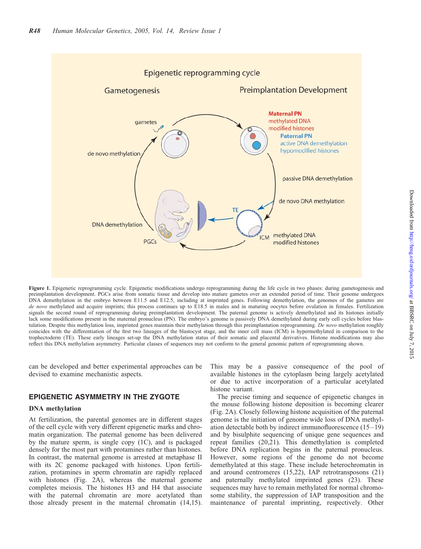

Figure 1. Epigenetic reprogramming cycle. Epigenetic modifications undergo reprogramming during the life cycle in two phases: during gametogenesis and preimplantation development. PGCs arise from somatic tissue and develop into mature gametes over an extended period of time. Their genome undergoes DNA demethylation in the embryo between E11.5 and E12.5, including at imprinted genes. Following demethylation, the genomes of the gametes are de novo methylated and acquire imprints; this process continues up to E18.5 in males and in maturing oocytes before ovulation in females. Fertilization signals the second round of reprogramming during preimplantation development. The paternal genome is actively demethylated and its histones initially lack some modifications present in the maternal pronucleus (PN). The embryo's genome is passively DNA demethylated during early cell cycles before blastulation. Despite this methylation loss, imprinted genes maintain their methylation through this preimplantation reprogramming. De novo methylation roughly coincides with the differentiation of the first two lineages of the blastocyst stage, and the inner cell mass (ICM) is hypermethylated in comparison to the trophectoderm (TE). These early lineages set-up the DNA methylation status of their somatic and placental derivatives. Histone modifications may also reflect this DNA methylation asymmetry. Particular classes of sequences may not conform to the general genomic pattern of reprogramming shown.

can be developed and better experimental approaches can be devised to examine mechanistic aspects.

## EPIGENETIC ASYMMETRY IN THE ZYGOTE

#### DNA methylation

At fertilization, the parental genomes are in different stages of the cell cycle with very different epigenetic marks and chromatin organization. The paternal genome has been delivered by the mature sperm, is single copy (1C), and is packaged densely for the most part with protamines rather than histones. In contrast, the maternal genome is arrested at metaphase II with its 2C genome packaged with histones. Upon fertilization, protamines in sperm chromatin are rapidly replaced with histones (Fig. 2A), whereas the maternal genome completes meiosis. The histones H3 and H4 that associate with the paternal chromatin are more acetylated than those already present in the maternal chromatin (14,15). This may be a passive consequence of the pool of available histones in the cytoplasm being largely acetylated or due to active incorporation of a particular acetylated histone variant.

The precise timing and sequence of epigenetic changes in the mouse following histone deposition is becoming clearer (Fig. 2A). Closely following histone acquisition of the paternal genome is the initiation of genome wide loss of DNA methylation detectable both by indirect immunofluorescence  $(15-19)$ and by bisulphite sequencing of unique gene sequences and repeat families (20,21). This demethylation is completed before DNA replication begins in the paternal pronucleus. However, some regions of the genome do not become demethylated at this stage. These include heterochromatin in and around centromeres (15,22), IAP retrotransposons (21) and paternally methylated imprinted genes (23). These sequences may have to remain methylated for normal chromosome stability, the suppression of IAP transposition and the maintenance of parental imprinting, respectively. Other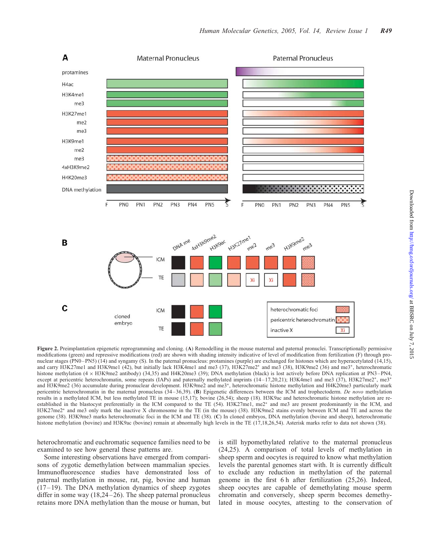

Figure 2. Preimplantation epigenetic reprogramming and cloning. (A) Remodelling in the mouse maternal and paternal pronuclei. Transcriptionally permissive modifications (green) and repressive modifications (red) are shown with shading intensity indicative of level of modification from fertilization (F) through pronuclear stages (PN0–PN5) (14) and syngamy (S). In the paternal pronucleus: protamines (purple) are exchanged for histones which are hyperacetylated (14,15), and carry H3K27me1 and H3K9me1 (42), but initially lack H3K4me1 and me3 (37), H3K27me2\* and me3 (38), H3K9me2 (36) and me3\*, heterochromatic histone methylation (4 x H3K9me2 antibody) (34,35) and H4K20me3 (39); DNA methylation (black) is lost actively before DNA replication at PN3–PN4, except at pericentric heterochromatin, some repeats (IAPs) and paternally methylated imprints (14–17,20,21); H3K4me1 and me3 (37), H3K27me2\*, me3\* and H3K9me2 (36) accumulate during pronuclear development. H3K9me2 and me3\*, heterochromatic histone methylation and H4K20me3 particularly mark pericentric heterochromatin in the maternal pronucleus  $(34–36.39)$ . (B) Epigenetic differences between the ICM and trophectoderm. De novo methylation results in a methylated ICM, but less methylated TE in mouse (15,17); bovine (26,54); sheep (18). H3K9ac and heterochromatic histone methylation are reestablished in the blastocyst preferentially in the ICM compared to the TE (54). H3K27me1, me2\* and me3 are present predominantly in the ICM, and H3K27me2<sup>\*</sup> and me3 only mark the inactive X chromosome in the TE (in the mouse) (38). H3K9me2 stains evenly between ICM and TE and across the genome (38). H3K9me3 marks heterochromatic foci in the ICM and TE (38). (C) In cloned embryos, DNA methylation (bovine and sheep), heterochromatic histone methylation (bovine) and H3K9ac (bovine) remain at abnormally high levels in the TE (17,18,26,54). Asterisk marks refer to data not shown (38).

heterochromatic and euchromatic sequence families need to be examined to see how general these patterns are.

Some interesting observations have emerged from comparisons of zygotic demethylation between mammalian species. Immunofluorescence studies have demonstrated loss of paternal methylation in mouse, rat, pig, bovine and human  $(17-19)$ . The DNA methylation dynamics of sheep zygotes differ in some way  $(18,24-26)$ . The sheep paternal pronucleus retains more DNA methylation than the mouse or human, but is still hypomethylated relative to the maternal pronucleus (24,25). A comparison of total levels of methylation in sheep sperm and oocytes is required to know what methylation levels the parental genomes start with. It is currently difficult to exclude any reduction in methylation of the paternal genome in the first 6 h after fertilization (25,26). Indeed, sheep oocytes are capable of demethylating mouse sperm chromatin and conversely, sheep sperm becomes demethylated in mouse oocytes, attesting to the conservation of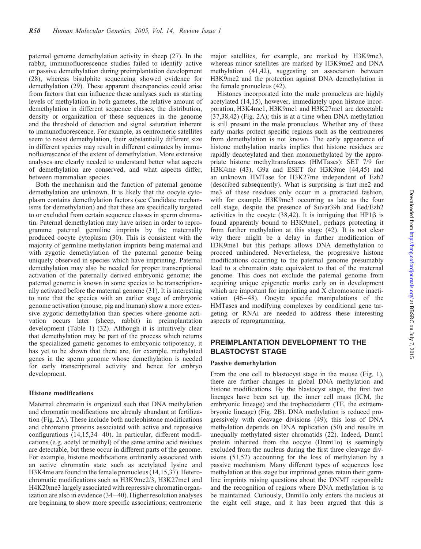paternal genome demethylation activity in sheep (27). In the rabbit, immunofluorescence studies failed to identify active or passive demethylation during preimplantation development (28), whereas bisulphite sequencing showed evidence for demethylation (29). These apparent discrepancies could arise from factors that can influence these analyses such as starting levels of methylation in both gametes, the relative amount of demethylation in different sequence classes, the distribution, density or organization of these sequences in the genome and the threshold of detection and signal saturation inherent to immunofluorescence. For example, as centromeric satellites seem to resist demethylation, their substantially different size in different species may result in different estimates by immunofluorescence of the extent of demethylation. More extensive analyses are clearly needed to understand better what aspects of demethylation are conserved, and what aspects differ, between mammalian species.

Both the mechanism and the function of paternal genome demethylation are unknown. It is likely that the oocyte cytoplasm contains demethylation factors (see Candidate mechanisms for demethylation) and that these are specifically targeted to or excluded from certain sequence classes in sperm chromatin. Paternal demethylation may have arisen in order to reprogramme paternal germline imprints by the maternally produced oocyte cytoplasm (30). This is consistent with the majority of germline methylation imprints being maternal and with zygotic demethylation of the paternal genome being uniquely observed in species which have imprinting. Paternal demethylation may also be needed for proper transcriptional activation of the paternally derived embryonic genome; the paternal genome is known in some species to be transcriptionally activated before the maternal genome (31). It is interesting to note that the species with an earlier stage of embryonic genome activation (mouse, pig and human) show a more extensive zygotic demethylation than species where genome activation occurs later (sheep, rabbit) in preimplantation development (Table 1) (32). Although it is intuitively clear that demethylation may be part of the process which returns the specialized gametic genomes to embryonic totipotency, it has yet to be shown that there are, for example, methylated genes in the sperm genome whose demethylation is needed for early transcriptional activity and hence for embryo development.

#### Histone modifications

Maternal chromatin is organized such that DNA methylation and chromatin modifications are already abundant at fertilization (Fig. 2A). These include both nucleohistone modifications and chromatin proteins associated with active and repressive configurations (14,15,34-40). In particular, different modifications (e.g. acetyl or methyl) of the same amino acid residues are detectable, but these occur in different parts of the genome. For example, histone modifications ordinarily associated with an active chromatin state such as acetylated lysine and H3K4me are found in the female pronucleus (14,15,37). Heterochromatic modifications such as H3K9me2/3, H3K27me1 and H4K20me3 largely associated with repressive chromatin organization are also in evidence (34 – 40). Higher resolution analyses are beginning to show more specific associations; centromeric major satellites, for example, are marked by H3K9me3, whereas minor satellites are marked by H3K9me2 and DNA methylation (41,42), suggesting an association between H3K9me2 and the protection against DNA demethylation in the female pronucleus (42).

Histones incorporated into the male pronucleus are highly acetylated (14,15), however, immediately upon histone incorporation, H3K4me1, H3K9me1 and H3K27me1 are detectable (37,38,42) (Fig. 2A); this is at a time when DNA methylation is still present in the male pronucleus. Whether any of these early marks protect specific regions such as the centromeres from demethylation is not known. The early appearance of histone methylation marks implies that histone residues are rapidly deacteylated and then monomethylated by the appropriate histone methyltransferases (HMTases): SET 7/9 for H3K4me (43), G9a and ESET for H3K9me (44,45) and an unknown HMTase for H3K27me independent of Ezh2 (described subsequently). What is surprising is that me2 and me3 of these residues only occur in a protracted fashion, with for example H3K9me3 occurring as late as the four cell stage, despite the presence of Suvar39h and Eed/Ezh2 activities in the oocyte (38,42). It is intriguing that HP1 $\beta$  is found apparently bound to H3K9me1, perhaps protecting it from further methylation at this stage (42). It is not clear why there might be a delay in further modification of H3K9me1 but this perhaps allows DNA demethylation to proceed unhindered. Nevertheless, the progressive histone modifications occurring to the paternal genome presumably lead to a chromatin state equivalent to that of the maternal genome. This does not exclude the paternal genome from acquiring unique epigenetic marks early on in development which are important for imprinting and X chromosome inactivation  $(46-48)$ . Oocyte specific manipulations of the HMTases and modifying complexes by conditional gene targeting or RNAi are needed to address these interesting aspects of reprogramming.

# PREIMPLANTATION DEVELOPMENT TO THE BLASTOCYST STAGE

#### Passive demethylation

From the one cell to blastocyst stage in the mouse (Fig. 1), there are further changes in global DNA methylation and histone modifications. By the blastocyst stage, the first two lineages have been set up: the inner cell mass (ICM, the embryonic lineage) and the trophectoderm (TE, the extraembryonic lineage) (Fig. 2B). DNA methylation is reduced progressively with cleavage divisions (49); this loss of DNA methylation depends on DNA replication (50) and results in unequally methylated sister chromatids (22). Indeed, Dnmt1 protein inherited from the oocyte (Dnmt1o) is seemingly excluded from the nucleus during the first three cleavage divisions (51,52) accounting for the loss of methylation by a passive mechanism. Many different types of sequences lose methylation at this stage but imprinted genes retain their germline imprints raising questions about the DNMT responsible and the recognition of regions where DNA methylation is to be maintained. Curiously, Dnmt1o only enters the nucleus at the eight cell stage, and it has been argued that this is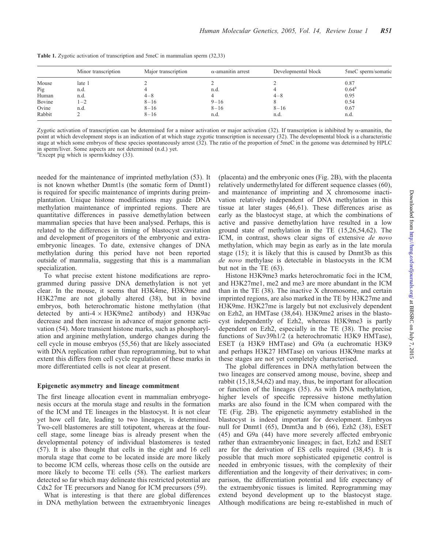|        | Minor transcription | Major transcription | $\alpha$ -amanitin arrest | Developmental block | 5meC sperm/somatic |
|--------|---------------------|---------------------|---------------------------|---------------------|--------------------|
| Mouse  | late 1              |                     |                           |                     | 0.87               |
| Pig    | n.d.                |                     | n.d.                      |                     | $0.64^{\rm a}$     |
| Human  | n.d.                | $4 - 8$             |                           | $4 - 8$             | 0.95               |
| Bovine | $-2$                | $8 - 16$            | $9 - 16$                  |                     | 0.54               |
| Ovine  | n.d.                | $8 - 16$            | $8 - 16$                  | $8 - 16$            | 0.67               |
| Rabbit |                     | $8 - 16$            | n.d.                      | n.d.                | n.d.               |

Table 1. Zygotic activation of transcription and 5meC in mammalian sperm (32,33)

Zygotic activation of transcription can be determined for a minor activation or major activation (32). If transcription is inhibited by a-amanitin, the point at which development stops is an indication of at which stage zygotic transcription is necessary (32). The developmental block is a characteristic stage at which some embryos of these species spontaneously arrest (32). The ratio of the proportion of 5meC in the genome was determined by HPLC in sperm/liver. Some aspects are not determined (n.d.) yet.

<sup>a</sup>Except pig which is sperm/kidney (33).

needed for the maintenance of imprinted methylation (53). It is not known whether Dnmt1s (the somatic form of Dnmt1) is required for specific maintenance of imprints during preimplantation. Unique histone modifications may guide DNA methylation maintenance of imprinted regions. There are quantitative differences in passive demethylation between mammalian species that have been analysed. Perhaps, this is related to the differences in timing of blastocyst cavitation and development of progenitors of the embryonic and extraembryonic lineages. To date, extensive changes of DNA methylation during this period have not been reported outside of mammalia, suggesting that this is a mammalian specialization.

To what precise extent histone modifications are reprogrammed during passive DNA demethylation is not yet clear. In the mouse, it seems that H3K4me, H3K9me and H3K27me are not globally altered (38), but in bovine embryos, both heterochromatic histone methylation (that detected by anti- $4 \times H3K9$ me2 antibody) and H3K9ac decrease and then increase in advance of major genome activation (54). More transient histone marks, such as phosphorylation and arginine methylation, undergo changes during the cell cycle in mouse embryos (55,56) that are likely associated with DNA replication rather than reprogramming, but to what extent this differs from cell cycle regulation of these marks in more differentiated cells is not clear at present.

#### Epigenetic asymmetry and lineage commitment

The first lineage allocation event in mammalian embryogenesis occurs at the morula stage and results in the formation of the ICM and TE lineages in the blastocyst. It is not clear yet how cell fate, leading to two lineages, is determined. Two-cell blastomeres are still totipotent, whereas at the fourcell stage, some lineage bias is already present when the developmental potency of individual blastomeres is tested (57). It is also thought that cells in the eight and 16 cell morula stage that come to be located inside are more likely to become ICM cells, whereas those cells on the outside are more likely to become TE cells (58). The earliest markers detected so far which may delineate this restricted potential are Cdx2 for TE precursors and Nanog for ICM precursors (59).

What is interesting is that there are global differences in DNA methylation between the extraembryonic lineages (placenta) and the embryonic ones (Fig. 2B), with the placenta relatively undermethylated for different sequence classes (60), and maintenance of imprinting and X chromosome inactivation relatively independent of DNA methylation in this tissue at later stages (46,61). These differences arise as early as the blastocyst stage, at which the combinations of active and passive demethylation have resulted in a low ground state of methylation in the TE (15,26,54,62). The ICM, in contrast, shows clear signs of extensive de novo methylation, which may begin as early as in the late morula stage (15); it is likely that this is caused by Dnmt3b as this de novo methylase is detectable in blastocysts in the ICM but not in the TE (63).

Histone H3K9me3 marks heterochromatic foci in the ICM, and H3K27me1, me2 and me3 are more abundant in the ICM than in the TE (38). The inactive X chromosome, and certain imprinted regions, are also marked in the TE by H3K27me and H3K9me. H3K27me is largely but not exclusively dependent on Ezh2, an HMTase (38,64). H3K9me2 arises in the blastocyst independently of Ezh2, whereas H3K9me3 is partly dependent on Ezh2, especially in the TE (38). The precise functions of Suv39h1/2 (a heterochromatic H3K9 HMTase), ESET (a H3K9 HMTase) and G9a (a euchromatic H3K9 and perhaps H3K27 HMTase) on various H3K9me marks at these stages are not yet completely characterised.

The global differences in DNA methylation between the two lineages are conserved among mouse, bovine, sheep and rabbit (15,18,54,62) and may, thus, be important for allocation or function of the lineages (35). As with DNA methylation, higher levels of specific repressive histone methylation marks are also found in the ICM when compared with the TE (Fig. 2B). The epigenetic asymmetry established in the blastocyst is indeed important for development. Embryos null for Dnmt1 (65), Dnmt3a and b (66), Ezh2 (38), ESET (45) and G9a (44) have more severely affected embryonic rather than extraembryonic lineages; in fact, Ezh2 and ESET are for the derivation of ES cells required (38,45). It is possible that much more sophisticated epigenetic control is needed in embryonic tissues, with the complexity of their differentiation and the longevity of their derivatives; in comparison, the differentiation potential and life expectancy of the extraembryonic tissues is limited. Reprogramming may extend beyond development up to the blastocyst stage. Although modifications are being re-established in much of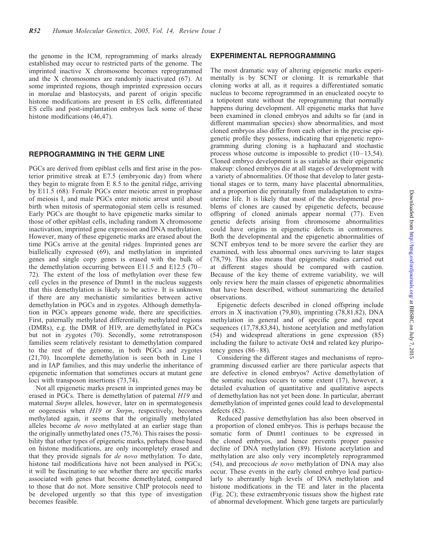the genome in the ICM, reprogramming of marks already established may occur to restricted parts of the genome. The imprinted inactive X chromosome becomes reprogrammed and the X chromosomes are randomly inactivated (67). At some imprinted regions, though imprinted expression occurs in morulae and blastocysts, and parent of origin specific histone modifications are present in ES cells, differentiated ES cells and post-implantation embryos lack some of these histone modifications  $(46, 47)$ .

## REPROGRAMMING IN THE GERM LINE

PGCs are derived from epiblast cells and first arise in the posterior primitive streak at E7.5 (embryonic day) from where they begin to migrate from E 8.5 to the genital ridge, arriving by E11.5 (68). Female PGCs enter meiotic arrest in prophase of meiosis I, and male PGCs enter mitotic arrest until about birth when mitosis of spermatogonial stem cells is resumed. Early PGCs are thought to have epigenetic marks similar to those of other epiblast cells, including random X chromosome inactivation, imprinted gene expression and DNA methylation. However, many of these epigenetic marks are erased about the time PGCs arrive at the genital ridges. Imprinted genes are biallelically expressed (69), and methylation in imprinted genes and single copy genes is erased with the bulk of the demethylation occurring between E11.5 and E12.5  $(70 -$ 72). The extent of the loss of methylation over these few cell cycles in the presence of Dnmt1 in the nucleus suggests that this demethylation is likely to be active. It is unknown if there are any mechanistic similarities between active demethylation in PGCs and in zygotes. Although demethylation in PGCs appears genome wide, there are specificities. First, paternally methylated differentially methylated regions (DMRs), e.g. the DMR of H19, are demethylated in PGCs but not in zygotes (70). Secondly, some retrotransposon families seem relatively resistant to demethylation compared to the rest of the genome, in both PGCs and zygotes (21,70). Incomplete demethylation is seen both in Line 1 and in IAP families, and this may underlie the inheritance of epigenetic information that sometimes occurs at mutant gene loci with transposon insertions (73,74).

Not all epigenetic marks present in imprinted genes may be erased in PGCs. There is demethylation of paternal H19 and maternal Snrpn alleles, however, later on in spermatogenesis or oogenesis when H19 or Snrpn, respectively, becomes methylated again, it seems that the originally methylated alleles become de novo methylated at an earlier stage than the originally unmethylated ones (75,76). This raises the possibility that other types of epigenetic marks, perhaps those based on histone modifications, are only incompletely erased and that they provide signals for de novo methylation. To date, histone tail modifications have not been analysed in PGCs; it will be fascinating to see whether there are specific marks associated with genes that become demethylated, compared to those that do not. More sensitive ChIP protocols need to be developed urgently so that this type of investigation becomes feasible.

## EXPERIMENTAL REPROGRAMMING

The most dramatic way of altering epigenetic marks experimentally is by SCNT or cloning. It is remarkable that cloning works at all, as it requires a differentiated somatic nucleus to become reprogrammed in an enucleated oocyte to a totipotent state without the reprogramming that normally happens during development. All epigenetic marks that have been examined in cloned embryos and adults so far (and in different mammalian species) show abnormalities, and most cloned embryos also differ from each other in the precise epigenetic profile they possess, indicating that epigenetic reprogramming during cloning is a haphazard and stochastic process whose outcome is impossible to predict  $(10-13,54)$ . Cloned embryo development is as variable as their epigenetic makeup: cloned embryos die at all stages of development with a variety of abnormalities. Of those that develop to later gestational stages or to term, many have placental abnormalities, and a proportion die perinatally from maladaptation to extrauterine life. It is likely that most of the developmental problems of clones are caused by epigenetic defects, because offspring of cloned animals appear normal (77). Even genetic defects arising from chromosome abnormalities could have origins in epigenetic defects in centromeres. Both the developmental and the epigenetic abnormalities of SCNT embryos tend to be more severe the earlier they are examined, with less abnormal ones surviving to later stages (78,79). This also means that epigenetic studies carried out at different stages should be compared with caution. Because of the key theme of extreme variability, we will only review here the main classes of epigenetic abnormalities that have been described, without summarizing the detailed observations.

Epigenetic defects described in cloned offspring include errors in X inactivation (79,80), imprinting (78,81,82), DNA methylation in general and of specific gene and repeat sequences (17,78,83,84), histone acetylation and methylation (54) and widespread alterations in gene expression (85) including the failure to activate Oct4 and related key pluripotency genes  $(86-88)$ .

Considering the different stages and mechanisms of reprogramming discussed earlier are there particular aspects that are defective in cloned embryos? Active demethylation of the somatic nucleus occurs to some extent (17), however, a detailed evaluation of quantitative and qualitative aspects of demethylation has not yet been done. In particular, aberrant demethylation of imprinted genes could lead to developmental defects (82).

Reduced passive demethylation has also been observed in a proportion of cloned embryos. This is perhaps because the somatic form of Dnmt1 continues to be expressed in the cloned embryos, and hence prevents proper passive decline of DNA methylation (89). Histone acetylation and methylation are also only very incompletely reprogrammed (54), and precocious de novo methylation of DNA may also occur. These events in the early cloned embryo lead particularly to aberrantly high levels of DNA methylation and histone modifications in the TE and later in the placenta (Fig. 2C); these extraembryonic tissues show the highest rate of abnormal development. Which gene targets are particularly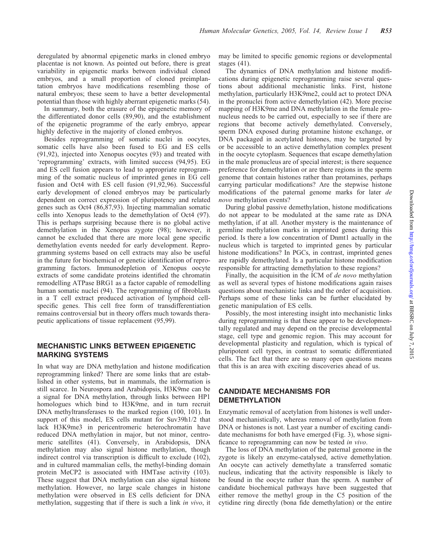deregulated by abnormal epigenetic marks in cloned embryo placentae is not known. As pointed out before, there is great variability in epigenetic marks between individual cloned embryos, and a small proportion of cloned preimplantation embryos have modifications resembling those of natural embryos; these seem to have a better developmental potential than those with highly aberrant epigenetic marks (54).

In summary, both the erasure of the epigenetic memory of the differentiated donor cells (89,90), and the establishment of the epigenetic programme of the early embryo, appear highly defective in the majority of cloned embryos.

Besides reprogramming of somatic nuclei in oocytes, somatic cells have also been fused to EG and ES cells (91,92), injected into Xenopus oocytes (93) and treated with 'reprogramming' extracts, with limited success (94,95). EG and ES cell fusion appears to lead to appropriate reprogramming of the somatic nucleus of imprinted genes in EG cell fusion and Oct4 with ES cell fusion (91,92,96). Successful early development of cloned embryos may be particularly dependent on correct expression of pluripotency and related genes such as Oct4 (86,87,93). Injecting mammalian somatic cells into Xenopus leads to the demethylation of Oct4 (97). This is perhaps surprising because there is no global active demethylation in the Xenopus zygote (98); however, it cannot be excluded that there are more local gene specific demethylation events needed for early development. Reprogramming systems based on cell extracts may also be useful in the future for biochemical or genetic identification of reprogramming factors. Immunodepletion of Xenopus oocyte extracts of some candidate proteins identified the chromatin remodelling ATPase BRG1 as a factor capable of remodelling human somatic nuclei (94). The reprogramming of fibroblasts in a T cell extract produced activation of lymphoid cellspecific genes. This cell free form of transdifferentiation remains controversial but in theory offers much towards therapeutic applications of tissue replacement (95,99).

## MECHANISTIC LINKS BETWEEN EPIGENETIC MARKING SYSTEMS

In what way are DNA methylation and histone modification reprogramming linked? There are some links that are established in other systems, but in mammals, the information is still scarce. In Neurospora and Arabidopsis, H3K9me can be a signal for DNA methylation, through links between HP1 homologues which bind to H3K9me, and in turn recruit DNA methyltransferases to the marked region (100, 101). In support of this model, ES cells mutant for Suv39h1/2 that lack H3K9me3 in pericentromeric heterochromatin have reduced DNA methylation in major, but not minor, centromeric satellites (41). Conversely, in Arabidopsis, DNA methylation may also signal histone methylation, though indirect control via transcription is difficult to exclude (102), and in cultured mammalian cells, the methyl-binding domain protein MeCP2 is associated with HMTase activity (103). These suggest that DNA methylation can also signal histone methylation. However, no large scale changes in histone methylation were observed in ES cells deficient for DNA methylation, suggesting that if there is such a link in vivo, it may be limited to specific genomic regions or developmental stages (41).

The dynamics of DNA methylation and histone modifications during epigenetic reprogramming raise several questions about additional mechanistic links. First, histone methylation, particularly H3K9me2, could act to protect DNA in the pronuclei from active demethylation (42). More precise mapping of H3K9me and DNA methylation in the female pronucleus needs to be carried out, especially to see if there are regions that become actively demethylated. Conversely, sperm DNA exposed during protamine histone exchange, or DNA packaged in acetylated histones, may be targeted by or be accessible to an active demethylation complex present in the oocyte cytoplasm. Sequences that escape demethylation in the male pronucleus are of special interest; is there sequence preference for demethylation or are there regions in the sperm genome that contain histones rather than protamines, perhaps carrying particular modifications? Are the stepwise histone modifications of the paternal genome marks for later de novo methylation events?

During global passive demethylation, histone modifications do not appear to be modulated at the same rate as DNA methylation, if at all. Another mystery is the maintenance of germline methylation marks in imprinted genes during this period. Is there a low concentration of Dnmt1 actually in the nucleus which is targeted to imprinted genes by particular histone modifications? In PGCs, in contrast, imprinted genes are rapidly demethylated. Is a particular histone modification responsible for attracting demethylation to these regions?

Finally, the acquisition in the ICM of *de novo* methylation as well as several types of histone modifications again raises questions about mechanistic links and the order of acquisition. Perhaps some of these links can be further elucidated by genetic manipulation of ES cells.

Possibly, the most interesting insight into mechanistic links during reprogramming is that these appear to be developmentally regulated and may depend on the precise developmental stage, cell type and genomic region. This may account for developmental plasticity and regulation, which is typical of pluripotent cell types, in contrast to somatic differentiated cells. The fact that there are so many open questions means that this is an area with exciting discoveries ahead of us.

# CANDIDATE MECHANISMS FOR DEMETHYLATION

Enzymatic removal of acetylation from histones is well understood mechanistically, whereas removal of methylation from DNA or histones is not. Last year a number of exciting candidate mechanisms for both have emerged (Fig. 3), whose significance to reprogramming can now be tested in vivo.

The loss of DNA methylation of the paternal genome in the zygote is likely an enzyme-catalysed, active demethylation. An oocyte can actively demethylate a transferred somatic nucleus, indicating that the activity responsible is likely to be found in the oocyte rather than the sperm. A number of candidate biochemical pathways have been suggested that either remove the methyl group in the C5 position of the cytidine ring directly (bona fide demethylation) or the entire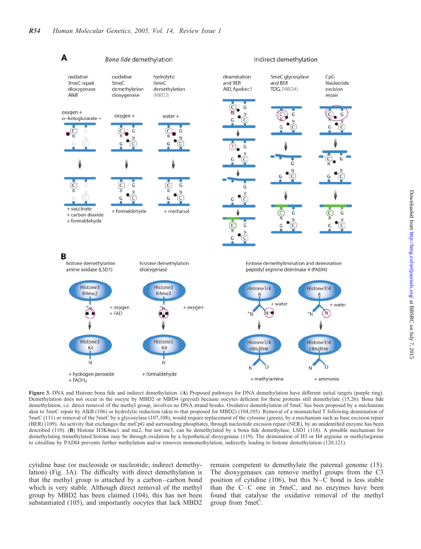

Figure 3. DNA and Histone bona fide and indirect demethylation. (A) Proposed pathways for DNA demethylation have different initial targets (purple ring). Demethylation does not occur in the oocyte by MBD2 or MBD4 (greyed) because oocytes deficient for these proteins still demethylate (15,26). Bona fide demethylation, i.e. direct removal of the methyl group, involves no DNA strand breaks. Oxidative demethylation of 5meC has been proposed by a mechanism akin to 3meC repair by AlkB (106) or hydrolytic reduction (akin to that proposed for MBD2) (104,105). Removal of a mismatched T following deamination of 5meC (111) or removal of the 5meC by a glycosylase (107,108), would require replacement of the cytosine (green), by a mechanism such as base excision repair (BER) (109). An activity that exchanges the meCpG and surrounding phosphates, through nucleotide excision repair (NER), by an unidentified enzyme has been described (110). (B) Histone H3K4me1 and me2, but not me3, can be demethylated by a bona fide demethylase, LSD1 (118). A possible mechanism for demethylating trimethylated histone may be through oxidation by a hypothetical dioxygenase (119). The deimination of H3 or H4 arginine or methylarginine to citrulline by PADI4 prevents further methylation and/or removes monomethylation, indirectly leading to histone demethylation (120,121).

cytidine base (or nucleoside or nucleotide; indirect demethylation) (Fig. 3A). The difficulty with direct demethylation is that the methyl group is attached by a carbon–carbon bond which is very stable. Although direct removal of the methyl group by MBD2 has been claimed (104), this has not been substantiated (105), and importantly oocytes that lack MBD2

remain competent to demethylate the paternal genome (15). The dioxygenases can remove methyl groups from the C3 position of cytidine (106), but this  $N - C$  bond is less stable than the  $C-C$  one in 5me $C$ , and no enzymes have been found that catalyse the oxidative removal of the methyl group from 5meC.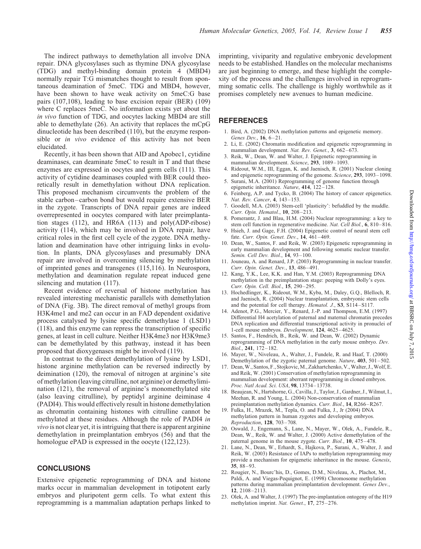The indirect pathways to demethylation all involve DNA repair. DNA glycosylases such as thymine DNA glycosylase (TDG) and methyl-binding domain protein 4 (MBD4) normally repair T:G mismatches thought to result from spontaneous deamination of 5meC. TDG and MBD4, however, have been shown to have weak activity on 5meC:G base pairs (107,108), leading to base excision repair (BER) (109) where C replaces 5meC. No information exists yet about the in vivo function of TDG, and oocytes lacking MBD4 are still able to demethylate (26). An activity that replaces the mCpG dinucleotide has been described (110), but the enzyme responsible or *in vivo* evidence of this activity has not been elucidated.

Recently, it has been shown that AID and Apobec1, cytidine deaminases, can deaminate 5meC to result in T and that these enzymes are expressed in oocytes and germ cells (111). This activity of cytidine deaminases coupled with BER could theoretically result in demethylation without DNA replication. This proposed mechanism circumvents the problem of the stable carbon–carbon bond but would require extensive BER in the zygote. Transcripts of DNA repair genes are indeed overrepresented in oocytes compared with later preimplantation stages (112), and HR6A (113) and poly(ADP-ribose) activity (114), which may be involved in DNA repair, have critical roles in the first cell cycle of the zygote. DNA methylation and deamination have other intriguing links in evolution. In plants, DNA glycosylases and presumably DNA repair are involved in overcoming silencing by methylation of imprinted genes and transgenes (115,116). In Neurospora, methylation and deamination regulate repeat induced gene silencing and mutation (117).

Recent evidence of reversal of histone methylation has revealed interesting mechanistic parallels with demethylation of DNA (Fig. 3B). The direct removal of methyl groups from H3K4me1 and me2 can occur in an FAD dependent oxidative process catalysed by lysine specific demethylase 1 (LSD1) (118), and this enzyme can repress the transcription of specific genes, at least in cell culture. Neither H3K4me3 nor H3K9me3 can be demethylated by this pathway, instead it has been proposed that dioxygenases might be involved (119).

In contrast to the direct demethylation of lysine by LSD1, histone arginine methylation can be reversed indirectly by deimination (120), the removal of nitrogen at arginine's site of methylation (leaving citrulline, not arginine) or demethylimination (121), the removal of arginine's monomethylated site (also leaving citrulline), by peptidyl arginine deiminase 4 (PADI4). This would effectively result in histone demethylation as chromatin containing histones with citrulline cannot be methylated at these residues. Although the role of PADI4 in vivo is not clear yet, it is intriguing that there is apparent arginine demethylation in preimplantation embryos (56) and that the homologue ePAD is expressed in the oocyte (122,123).

## **CONCLUSIONS**

Extensive epigenetic reprogramming of DNA and histone marks occur in mammalian development in totipotent early embryos and pluripotent germ cells. To what extent this reprogramming is a mammalian adaptation perhaps linked to

imprinting, viviparity and regulative embryonic development needs to be established. Handles on the molecular mechanisms are just beginning to emerge, and these highlight the complexity of the process and the challenges involved in reprogramming somatic cells. The challenge is highly worthwhile as it promises completely new avenues to human medicine.

## **REFERENCES**

- 1. Bird, A. (2002) DNA methylation patterns and epigenetic memory. Genes Dev.,  $16, 6-21$ .
- 2. Li, E. (2002) Chromatin modification and epigenetic reprogramming in mammalian development. Nat. Rev. Genet., 3, 662–673.
- 3. Reik, W., Dean, W. and Walter, J. Epigenetic reprogramming in mammalian development. Science, 293, 1089–1093.
- 4. Rideout, W.M., III, Eggan, K. and Jaenisch, R. (2001) Nuclear cloning and epigenetic reprogramming of the genome. Science, 293, 1093–1098.
- 5. Surani, M.A. (2001) Reprogramming of genome function through epigenetic inheritance. Nature, 414, 122-128.
- 6. Feinberg, A.P. and Tycko, B. (2004) The history of cancer epigenetics. Nat. Rev. Cancer, 4, 143-153.
- 7. Goodell, M.A. (2003) Stem-cell 'plasticity': befuddled by the muddle. Curr. Opin. Hematol., 10, 208–213.
- 8. Pomerantz, J. and Blau, H.M. (2004) Nuclear reprogramming: a key to stem cell function in regenerative medicine. Nat. Cell Biol., 6, 810–816. 9. Hsieh, J. and Gage, F.H. (2004) Epigenetic control of neural stem cell fate. Curr. Opin. Genet. Dev., 14, 461-469.
- 10. Dean, W., Santos, F. and Reik, W. (2003) Epigenetic reprogramming in early mammalian development and following somatic nuclear transfer. Semin. Cell Dev. Biol., 14, 93–100.
- 11. Jouneau, A. and Renard, J.P. (2003) Reprogramming in nuclear transfer. Curr. Opin. Genet. Dev., 13, 486 –491.
- 12. Kang, Y.K., Lee, K.K. and Han, Y.M. (2003) Reprogramming DNA methylation in the preimplantation stage: peeping with Dolly's eyes. Curr. Opin. Cell. Biol., 15, 290-295.
- 13. Hochedlinger, K., Rideout, W.M., Kyba, M., Daley, G.Q., Blelloch, R. and Jaenisch, R. (2004) Nuclear transplantation, embryonic stem cells and the potential for cell therapy. Hematol. J., S3, S114–S117.
- 14. Adenot, P.G., Mercier, Y., Renard, J.-P. and Thompson, E.M. (1997) Differential H4 acetylation of paternal and maternal chromatin precedes DNA replication and differential transcriptional activity in pronuclei of 1-cell mouse embryos. Development, 124, 4625–4625.
- 15. Santos, F., Hendrich, B., Reik, W. and Dean, W. (2002) Dynamic reprogramming of DNA methylation in the early mouse embryo. Dev. Biol., 241, 172–182.
- 16. Mayer, W., Niveleau, A., Walter, J., Fundele, R. and Haaf, T. (2000) Demethylation of the zygotic paternal genome. Nature, 403, 501–502.
- 17. Dean,W., Santos, F., Stojkovic,M., Zakhartchenko, V.,Walter, J.,Wolf, E. and Reik, W. (2001) Conservation of methylation reprogramming in mammalian development: aberrant reprogramming in cloned embryos. Proc. Natl Acad. Sci. USA, 98, 13734– 13738.
- 18. Beaujean, N., Hartshorne, G., Cavilla, J., Taylor, J., Gardner, J., Wilmut, I., Meehan, R. and Young, L. (2004) Non-conservation of mammalian preimplantation methylation dynamics. Curr. Biol., 14, R266–R267.
- 19. Fulka, H., Mrazek, M., Tepla, O. and Fulka, J., Jr (2004) DNA methylation pattern in human zygotes and developing embryos. Reproduction, 128, 703–708.
- 20. Oswald, J., Engemann, S., Lane, N., Mayer, W., Olek, A., Fundele, R., Dean, W., Reik, W. and Walter, J. (2000) Active demethylation of the paternal genome in the mouse zygote. Curr. Biol., 10, 475–478.
- 21. Lane, N., Dean, W., Erhardt, S., Hajkova, P., Surani, A., Walter, J. and Reik, W. (2003) Resistance of IAPs to methylation reprogramming may provide a mechanism for epigenetic inheritance in the mouse. Genesis, 35, 88–93.
- 22. Rougier, N., Bourc'his, D., Gomes, D.M., Niveleau, A., Plachot, M., Paldi, A. and Viegas-Pequignot, E. (1998) Chromosome methylation patterns during mammalian preimplantation development. Genes Dev., 12, 2108–2113.
- 23. Olek, A. and Walter, J. (1997) The pre-implantation ontogeny of the H19 methylation imprint. Nat. Genet., 17, 275–276.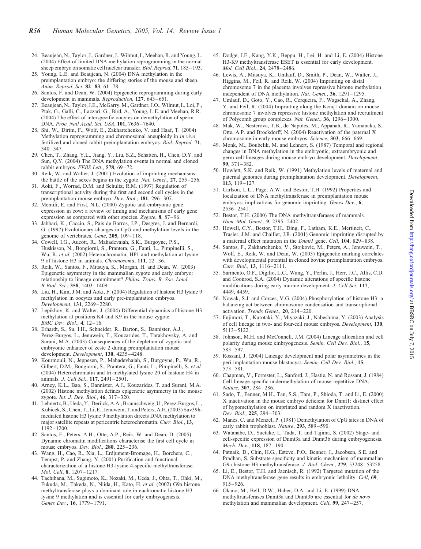- 24. Beaujean, N., Taylor, J., Gardner, J., Wilmut, I., Meehan, R. and Young, L. (2004) Effect of limited DNA methylation reprogramming in the normal sheep embryo on somatic cell nuclear transfer. Biol. Reprod. 71, 185–193.
- 25. Young, L.E. and Beaujean, N. (2004) DNA methylation in the preimplantation embryo: the differing stories of the mouse and sheep. Anim. Reprod. Sci. 82-83, 61-78.
- 26. Santos, F. and Dean, W. (2004) Epigenetic reprogramming during early development in mammals. Reproduction, 127, 643–651.
- 27. Beaujean, N., Taylor, J.E., McGarry, M., Gardner, J.O., Wilmut, I., Loi, P., Ptak, G., Galli, C., Lazzari, G., Bird, A., Young, L.E. and Meehan, R.R. (2004) The effect of interspecific oocytes on demethylation of sperm DNA. Proc. Natl Acad. Sci. USA, 101, 7636–7640.
- 28. Shi, W., Dirim, F., Wolf, E., Zakhartchenko, V. and Haaf, T. (2004) Methylation reprogramming and chromosomal aneuploidy in in vivo fertilized and cloned rabbit preimplantation embryos. Biol. Reprod. 71,  $340 - 347$ .
- 29. Chen, T., Zhang, Y.L., Jiang, Y., Liu, S.Z., Schatten, H., Chen, D.Y. and Sun, Q.Y. (2004) The DNA methylation events in normal and cloned rabbit embryos. FEBS Lett., 578, 69–72.
- 30. Reik, W. and Walter, J. (2001) Evolution of imprinting mechanisms: the battle of the sexes begins in the zygote. Nat. Genet., 27, 255–256.
- 31. Aoki, F., Worrad, D.M. and Schultz, R.M. (1997) Regulation of transcriptional activity during the first and second cell cycles in the preimplantation mouse embryo. Dev. Biol., 181, 296–307.
- 32. Memili, E. and First, N.L. (2000) Zygotic and embryonic gene expression in cow: a review of timing and mechanisms of early gene expression as compared with other species. Zygote, 8, 87–96.
- 33. Jabbari, K., Caccio, S., Pais de Barros, J.P., Desgres, J. and Bernardi, G. (1997) Evolutionary changes in CpG and methylation levels in the genome of vertebrates. Gene, 205, 109-118. 34. Cowell, I.G., Aucott, R., Mahadevaiah, S.K., Burgoyne, P.S.,
- Huskisson, N., Bongiorni, S., Prantera, G., Fanti, L., Pimpinelli, S., Wu, R. et al. (2002) Heterochromatin, HP1 and methylation at lysine 9 of histone H3 in animals. Chromosoma, 111, 22-36.
- 35. Reik, W., Santos, F., Mitsuya, K., Morgan, H. and Dean, W. (2003) Epigenetic asymmetry in the mammalian zygote and early embryo: relationship to lineage commitment? Philos. Trans. R. Soc. Lond. B Biol. Sci., 358, 1403–1409.
- 36. Liu, H., Kim, J.M. and Aoki, F. (2004) Regulation of histone H3 lysine 9 methylation in oocytes and early pre-implantation embryos. Development, 131, 2269–2280.
- 37. Lepikhov, K. and Walter, J. (2004) Differential dynamics of histone H3 methylation at positions K4 and K9 in the mouse zygote. BMC Dev. Biol., 4, 12–16.
- 38. Erhardt, S., Su, I.H., Schneider, R., Barton, S., Bannister, A.J., Perez-Burgos, L., Jenuwein, T., Kouzarides, T., Tarakhovsky, A. and Surani, M.A. (2003) Consequences of the depletion of zygotic and embryonic enhancer of zeste 2 during preimplantation mouse development. Development, 130, 4235–4248.
- 39. Kourmouli, N., Jeppesen, P., Mahadevhaiah, S., Burgoyne, P., Wu, R., Gilbert, D.M., Bongiorni, S., Prantera, G., Fanti, L., Pimpinelli, S. et al. (2004) Heterochromatin and tri-methylated lysine 20 of histone H4 in animals. J. Cell Sci., 117, 2491–2501.
- 40. Arney, K.L., Bao, S., Bannister, A.J., Kouzarides, T. and Surani, M.A. (2002) Histone methylation defines epigenetic asymmetry in the mouse zygote. Int. J. Dev. Biol., 46, 317–320.
- 41. Lehnertz, B., Ueda, Y., Derijck, A.A., Braunschweig, U., Perez-Burgos, L., Kubicek, S., Chen, T., Li, E., Jenuwein, T. and Peters, A.H. (2003) Suv39hmediated histone H3 lysine 9 methylation directs DNA methylation to major satellite repeats at pericentric heterochromatin. Curr. Biol., 13, 1192–1200.
- 42. Santos, F., Peters, A.H., Otte, A.P., Reik, W. and Dean, D. (2005) Dynamic chromatin modifications characterise the first cell cycle in mouse embryos. Dev. Biol., 280, 225–236.
- 43. Wang, H., Cao, R., Xia, L., Erdjument-Bromage, H., Borchers, C., Tempst, P. and Zhang, Y. (2001) Purification and functional characterization of a histone H3-lysine 4-specific methyltransferase. Mol. Cell, 8, 1207–1217.
- 44. Tachibana, M., Sugimoto, K., Nozaki, M., Ueda, J., Ohta, T., Ohki, M., Fukuda, M., Takeda, N., Niida, H., Kato, H. et al. (2002) G9a histone methyltransferase plays a dominant role in euchromatic histone H3 lysine 9 methylation and is essential for early embryogenesis. Genes Dev., 16, 1779–1791.
- 45. Dodge, J.E., Kang, Y.K., Beppu, H., Lei, H. and Li, E. (2004) Histone H3-K9 methyltransferase ESET is essential for early development. Mol. Cell Biol., 24, 2478– 2486.
- 46. Lewis, A., Mitsuya, K., Umlauf, D., Smith, P., Dean, W., Walter, J., Higgins, M., Feil, R. and Reik, W. (2004) Imprinting on distal chromosome 7 in the placenta involves repressive histone methylation independent of DNA methylation. Nat. Genet., 36, 1291-1295.
- 47. Umlauf, D., Goto, Y., Cao, R., Cerqueira, F., Wagschal, A., Zhang, Y. and Feil, R. (2004) Imprinting along the Kcnq1 domain on mouse chromosome 7 involves repressive histone methylation and recruitment of Polycomb group complexes. Nat. Genet., 36, 1296– 1300.
- 48. Mak, W., Nesterova, T.B., de Napoles, M., Appanah, R., Yamanaka, S., Otte, A.P. and Brockdorff, N. (2004) Reactivation of the paternal X chromosome in early mouse embryos. Science, 303, 666–669.
- 49. Monk, M., Boubelik, M. and Lehnert, S. (1987) Temporal and regional changes in DNA methylation in the embryonic, extraembryonic and germ cell lineages during mouse embryo development. Development, 99, 371–382.
- 50. Howlett, S.K. and Reik, W. (1991) Methylation levels of maternal and paternal genomes during preimplantation development. Development, 113, 119–127.
- 51. Carlson, L.L., Page, A.W. and Bestor, T.H. (1992) Properties and localization of DNA methyltransferase in preimplantation mouse embryos: implications for genomic imprinting. Genes Dev., 6, 2536–2541.
- 52. Bestor, T.H. (2000) The DNA methyltransferases of mammals. Hum. Mol. Genet., 9, 2395–2402.
- 53. Howell, C.Y., Bestor, T.H., Ding, F., Latham, K.E., Mertineit, C., Trasler, J.M. and Chaillet, J.R. (2001) Genomic imprinting disrupted by a maternal effect mutation in the *Dnmt1* gene. Cell, 104, 829-838.
- 54. Santos, F., Zakhartchenko, V., Stojkovic, M., Peters, A., Jenuwein, T., Wolf, E., Reik, W. and Dean, W. (2003) Epigenetic marking correlates with developmental potential in cloned bovine preimplantation embryos. Curr. Biol., 13, 1116–2111.
- 55. Sarmento, O.F., Digilio, L.C., Wang, Y., Perlin, J., Herr, J.C., Allis, C.D. and Coonrod, S.A. (2004) Dynamic alterations of specific histone modifications during early murine development. J. Cell Sci. 117, 4449, 4459.
- 56. Nowak, S.J. and Corces, V.G. (2004) Phosphorylation of histone H3: a balancing act between chromosome condensation and transcriptional activation. Trends Genet., 20, 214-220.
- 57. Fujimori, T., Kurotaki, Y., Miyazaki, J., Nabeshima, Y. (2003) Analysis of cell lineage in two- and four-cell mouse embryos. Development, 130, 5113–5122.
- 58. Johnson, M.H. and McConnell, J.M. (2004) Lineage allocation and cell polarity during mouse embryogenesis. Semin. Cell Dev. Biol., 15, 583–597.
- 59. Rossant, J. (2004) Lineage development and polar asymmetries in the peri-implantation mouse blastocyst. Semin. Cell Dev. Biol., 15, 573–581.
- 60. Chapman, V., Forrester, L., Sanford, J., Hastie, N. and Rossant, J. (1984) Cell lineage-specific undermethylation of mouse repetitive DNA. Nature, 307, 284–286.
- 61. Sado, T., Fenner, M.H., Tan, S.S., Tam, P., Shioda, T. and Li, E. (2000) X inactivation in the mouse embryo deficient for Dnmt1: distinct effect of hypomethylation on imprinted and random X inactivation. Dev. Biol., 225, 294-303.
- 62. Manes, C. and Menzel, P. (1981) Demethylation of CpG sites in DNA of early rabbit trophoblast. Nature, 293, 589–590.
- 63. Watanabe, D., Suetake, I., Tada, T. and Tajima, S. (2002) Stage- and cell-specific expression of Dnmt3a and Dnmt3b during embryogenesis. Mech. Dev., 118, 187–190.
- 64. Patnaik, D., Chin, H.G., Esteve, P.O., Benner, J., Jacobsen, S.E. and Pradhan, S. Substrate specificity and kinetic mechanism of mammalian G9a histone H3 methyltransferase. J. Biol. Chem., 279, 53248–53258.
- 65. Li, E., Bestor, T.H. and Jaenisch, R. (1992) Targeted mutation of the DNA methyltransferase gene results in embryonic lethality. Cell, 69, 915–926.
- 66. Okano, M., Bell, D.W., Haber, D.A. and Li, E. (1999) DNA methyltransferases Dnmt3a and Dnmt3b are essential for de novo methylation and mammalian development. Cell, 99, 247 –257.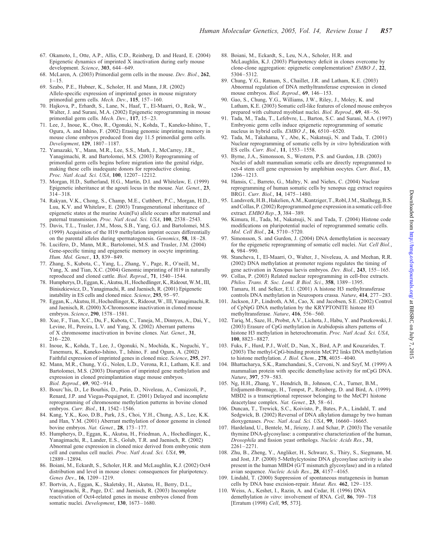- 67. Okamoto, I., Otte, A.P., Allis, C.D., Reinberg, D. and Heard, E. (2004) Epigenetic dynamics of imprinted X inactivation during early mouse development. Science, 303, 644-649.
- 68. McLaren, A. (2003) Primordial germ cells in the mouse. Dev. Biol., 262,  $1 - 15$ .
- 69. Szabo, P.E., Hubner, K., Scholer, H. and Mann, J.R. (2002) Allele-specific expression of imprinted genes in mouse migratory primordial germ cells. Mech. Dev., 115, 157–160.
- 70. Hajkova, P., Erhardt, S., Lane, N., Haaf, T., El-Maarri, O., Reik, W., Walter, J. and Surani, M.A. (2002) Epigenetic reprogramming in mouse primordial germ cells. Mech. Dev., 117, 15–23.
- 71. Lee, J., Inoue, K., Ono, R., Ogonuki, N., Kohda, T., Kaneko-Ishino, T., Ogura, A. and Ishino, F. (2002) Erasing genomic imprinting memory in mouse clone embryos produced from day 11.5 primordial germ cells. Development, 129, 1807–1187.
- 72. Yamazaki, Y., Mann, M.R., Lee, S.S., Marh, J., McCarrey, J.R., Yanagimachi, R. and Bartolomei, M.S. (2003) Reprogramming of primordial germ cells begins before migration into the genital ridge, making these cells inadequate donors for reproductive cloning. Proc. Natl Acad. Sci. USA, 100, 12207–12212.
- 73. Morgan, H.D., Sutherland, H.G., Martin, D.I. and Whitelaw, E. (1999) Epigenetic inheritance at the agouti locus in the mouse. Nat. Genet., 23, 314 –318.
- 74. Rakyan, V.K., Chong, S., Champ, M.E., Cuthbert, P.C., Morgan, H.D., Luu, K.V. and Whitelaw, E. (2003) Transgenerational inheritance of epigenetic states at the murine Axin(Fu) allele occurs after maternal and paternal transmission. Proc. Natl Acad. Sci. USA, 100, 2538-2543.
- 75. Davis, T.L., Trasler, J.M., Moss, S.B., Yang, G.J. and Bartolomei, M.S. (1999) Acquisition of the H19 methylation imprint occurs differentially on the parental alleles during spermatogenesis. Genomics, 58, 18–28.
- 76. Lucifero, D., Mann, M.R., Bartolomei, M.S. and Trasler, J.M. (2004) Gene-specific timing and epigenetic memory in oocyte imprinting. Hum. Mol. Genet., 13, 839–849.
- 77. Zhang, S., Kubota, C., Yang, L., Zhang, Y., Page, R., O'neill, M., Yang, X. and Tian, X.C. (2004) Genomic imprinting of H19 in naturally reproduced and cloned cattle. Biol. Reprod., 71, 1540–1544.
- 78. Humpherys, D., Eggan, K., Akutsu, H., Hochedlinger, K., Rideout,W.M., III, Biniszkiewicz, D., Yanagimachi, R. and Jaenisch, R. (2001) Epigenetic instability in ES cells and cloned mice. Science, 293, 95–97.
- 79. Eggan, K., Akutsu, H., Hochedlinger, K., Rideout,W., III, Yanagimachi, R. and Jaenisch, R. (2000) X-Chromosome inactivation in cloned mouse embryos. Science, 290, 1578–1581.
- 80. Xue, F., Tian, X.C., Du, F., Kubota, C., Taneja, M., Dinnyes, A., Dai, Y., Levine, H., Pereira, L.V. and Yang, X. (2002) Aberrant patterns of X chromosome inactivation in bovine clones. Nat. Genet., 31,  $216 - 220$ .
- 81. Inoue, K., Kohda, T., Lee, J., Ogonuki, N., Mochida, K., Noguchi, Y., Tanemura, K., Kaneko-Ishino, T., Ishino, F. and Ogura, A. (2002) Faithful expression of imprinted genes in cloned mice. Science, 295, 297.
- 82. Mann, M.R., Chung, Y.G., Nolen, L.D., Verona, R.I., Latham, K.E. and Bartolomei, M.S. (2003) Disruption of imprinted gene methylation and expression in cloned preimplantation stage mouse embryos. Biol. Reprod., 69, 902–914.
- 83. Bourc'his, D., Le Bourhis, D., Patin, D., Niveleau, A., Comizzoli, P., Renard, J.P. and Viegas-Pequignot, E. (2001) Delayed and incomplete reprogramming of chromosome methylation patterns in bovine cloned embryos. Curr. Biol., 11, 1542–1546.
- 84. Kang, Y.K., Koo, D.B., Park, J.S., Choi, Y.H., Chung, A.S., Lee, K.K. and Han, Y.M. (2001) Aberrant methylation of donor genome in cloned bovine embryos. Nat. Genet., 28, 173–177.
- 85. Humpherys, D., Eggan, K., Akutsu, H., Friedman, A., Hochedlinger, K., Yanagimachi, R., Lander, E.S., Golub, T.R. and Jaenisch, R. (2002) Abnormal gene expression in cloned mice derived from embryonic stem cell and cumulus cell nuclei. Proc. Natl Acad. Sci. USA, 99, 12889–12894.
- 86. Boiani, M., Eckardt, S., Scholer, H.R. and McLaughlin, K.J. (2002) Oct4 distribution and level in mouse clones: consequences for pluripotency. Genes Dev., 16, 1209– 1219.
- 87. Bortvin, A., Eggan, K., Skaletsky, H., Akutsu, H., Berry, D.L., Yanagimachi, R., Page, D.C. and Jaenisch, R. (2003) Incomplete reactivation of Oct4-related genes in mouse embryos cloned from somatic nuclei. Development, 130, 1673–1680.
- 88. Boiani, M., Eckardt, S., Leu, N.A., Scholer, H.R. and McLaughlin, K.J. (2003) Pluripotency deficit in clones overcome by clone-clone aggregation: epigenetic complementation? EMBO J., 22, 5304–5312.
- 89. Chung, Y.G., Ratnam, S., Chaillet, J.R. and Latham, K.E. (2003) Abnormal regulation of DNA methyltransferase expression in cloned mouse embryos. Biol. Reprod., 69, 146-153.
- 90. Gao, S., Chung, Y.G., Williams, J.W., Riley, J., Moley, K. and Latham, K.E. (2003) Somatic cell-like features of cloned mouse embryos prepared with cultured myoblast nuclei. Biol. Reprod., 69, 48–56.
- 91. Tada, M., Tada, T., Lefebvre, L., Barton, S.C. and Surani, M.A. (1997) Embryonic germ cells induce epigenetic reprogramming of somatic nucleus in hybrid cells. EMBO J., 16, 6510–6520.
- 92. Tada, M., Takahama, Y., Abe, K., Nakatsuji, N. and Tada, T. (2001) Nuclear reprogramming of somatic cells by in vitro hybridization with ES cells. Curr. Biol., 11, 1553– 1558.
- 93. Byrne, J.A., Simonsson, S., Western, P.S. and Gurdon, J.B. (2003) Nuclei of adult mammalian somatic cells are directly reprogrammed to oct-4 stem cell gene expression by amphibian oocytes. Curr. Biol., 13, 1206–1213.
- 94. Hansis, C., Barreto, G., Maltry, N. and Niehrs, C. (2004) Nuclear reprogramming of human somatic cells by xenopus egg extract requires BRG1. Curr. Biol., 14, 1475–1480.
- 95. Landsverk, H.B., Hakelien, A.M., Kuntziger, T., Robl, J.M., Skalhegg, B.S. and Collas, P. (2002) Reprogrammed gene expressionin a somatic cell-free extract. EMBO Rep., 3, 384-389.
- 96. Kimura, H., Tada, M., Nakatsuji, N. and Tada, T. (2004) Histone code modifications on pluripotential nuclei of reprogrammed somatic cells. Mol. Cell Biol., 24, 5710–5720.
- 97. Simonsson, S. and Gurdon, J. (2004) DNA demethylation is necessary for the epigenetic reprogramming of somatic cell nuclei. Nat. Cell Biol., 6, 984–990.
- 98. Stancheva, I., El-Maarri, O., Walter, J., Niveleau, A. and Meehan, R.R. (2002) DNA methylation at promoter regions regulates the timing of gene activation in Xenopus laevis embryos. Dev. Biol., 243, 155–165.
- Collas, P. (2003) Related nuclear reprogramming in cell-free extracts. Philos. Trans. R. Soc. Lond. B Biol. Sci., 358, 1389–1395.
- 100. Tamaru, H. and Selker, E.U. (2001) A histone H3 methyltransferase controls DNA methylation in Neurospora crassa. Nature, 414, 277–283.
- 101. Jackson, J.P., Lindroth, A.M., Cao, X. and Jacobsen, S.E. (2002) Control of CpNpG DNA methylation by the KRYPTONITE histone H3 methyltransferase. Nature, 416, 556–560.
- 102. Tariq, M., Saze, H., Probst, A.V., Lichota, J., Habu, Y. and Paszkowski, J. (2003) Erasure of CpG methylation in Arabidopsis alters patterns of histone H3 methylation in heterochromatin. Proc. Natl Acad. Sci. USA, 100, 8823–8827.
- 103. Fuks, F., Hurd, P.J., Wolf, D., Nan, X., Bird, A.P. and Kouzarides, T. (2003) The methyl-CpG-binding protein MeCP2 links DNA methylation to histone methylation. J. Biol. Chem., 278, 4035–4040.
- 104. Bhattacharya, S.K., Ramchandani, S., Cervoni, N. and Szyf, M. (1999) A mammalian protein with specific demethylase activity for mCpG DNA. Nature, 397, 579–583.
- 105. Ng, H.H., Zhang, Y., Hendrich, B., Johnson, C.A., Turner, B.M., Erdjument-Bromage, H., Tempst, P., Reinberg, D. and Bird, A. (1999) MBD2 is a transcriptional repressor belonging to the MeCP1 histone deacetylase complex. Nat. Genet., 23, 58-61.
- 106. Duncan, T., Trewick, S.C., Koivisto, P., Bates, P.A., Lindahl, T. and Sedgwick, B. (2002) Reversal of DNA alkylation damage by two human dioxygenases. Proc. Natl Acad. Sci. USA, 99, 16660-16665.
- 107. Hardeland, U., Bentele, M., Jiricny, J. and Schar, P. (2003) The versatile thymine DNA-glycosylase: a comparative characterization of the human, Drosophila and fission yeast orthologs. Nucleic Acids Res., 31, 2261–2271.
- 108. Zhu, B., Zheng, Y., Angliker, H., Schwarz, S., Thiry, S., Siegmann, M. and Jost, J.P. (2000) 5-Methylcytosine DNA glycosylase activity is also present in the human MBD4 (G/T mismatch glycosylase) and in a related avian sequence. Nucleic Acids Res., 28, 4157-4165.
- 109. Lindahl, T. (2000) Suppression of spontaneous mutagenesis in human cells by DNA base excision-repair. Mutat. Res. 462, 129-135.
- 110. Weiss, A., Keshet, I., Razin, A. and Cedar, H. (1996) DNA demethylation in vitro: involvement of RNA. Cell, 86, 709-718 [Erratum (1998) Cell, 95, 573].